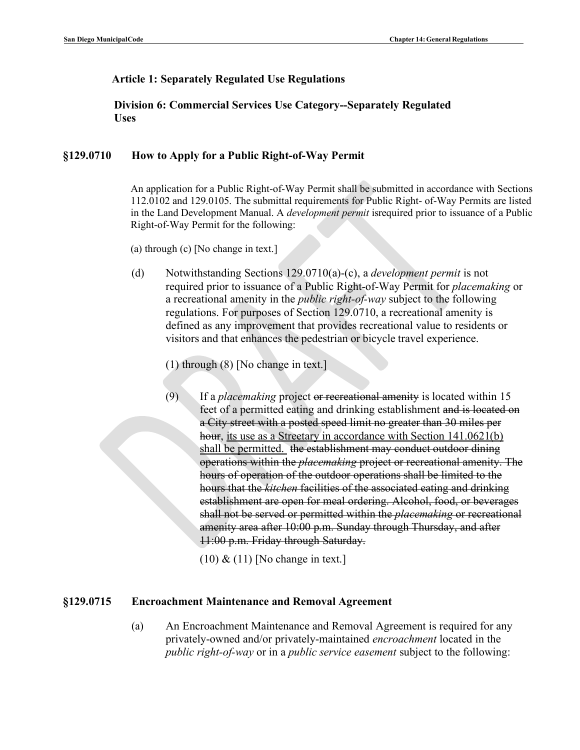## **Article 1: Separately Regulated Use Regulations**

**Division 6: Commercial Services Use Category--Separately Regulated Uses**

### **§129.0710 How to Apply for a Public Right-of-Way Permit**

An application for a Public Right-of-Way Permit shall be submitted in accordance with Sections 112.0102 and 129.0105. The submittal requirements for Public Right- of-Way Permits are listed in the Land Development Manual. A *development permit* isrequired prior to issuance of a Public Right-of-Way Permit for the following:

(a) through (c) [No change in text.]

(d) Notwithstanding Sections 129.0710(a)-(c), a *development permit* is not required prior to issuance of a Public Right-of-Way Permit for *placemaking* or a recreational amenity in the *public right-of-way* subject to the following regulations. For purposes of Section 129.0710, a recreational amenity is defined as any improvement that provides recreational value to residents or visitors and that enhances the pedestrian or bicycle travel experience.

(1) through (8) [No change in text.]

(9) If a *placemaking* project or recreational amenity is located within 15 feet of a permitted eating and drinking establishment and is located on a City street with a posted speed limit no greater than 30 miles per hour, its use as a Streetary in accordance with Section 141.0621(b) shall be permitted. the establishment may conduct outdoor dining operations within the *placemaking* project or recreational amenity. The hours of operation of the outdoor operations shall be limited to the hours that the *kitchen* facilities of the associated eating and drinking establishment are open for meal ordering. Alcohol, food, or beverages shall not be served or permitted within the *placemaking* or recreational amenity area after 10:00 p.m. Sunday through Thursday, and after 11:00 p.m. Friday through Saturday.

 $(10)$  &  $(11)$  [No change in text.]

### **§129.0715 Encroachment Maintenance and Removal Agreement**

(a) An Encroachment Maintenance and Removal Agreement is required for any privately-owned and/or privately-maintained *encroachment* located in the *public right-of-way* or in a *public service easement* subject to the following: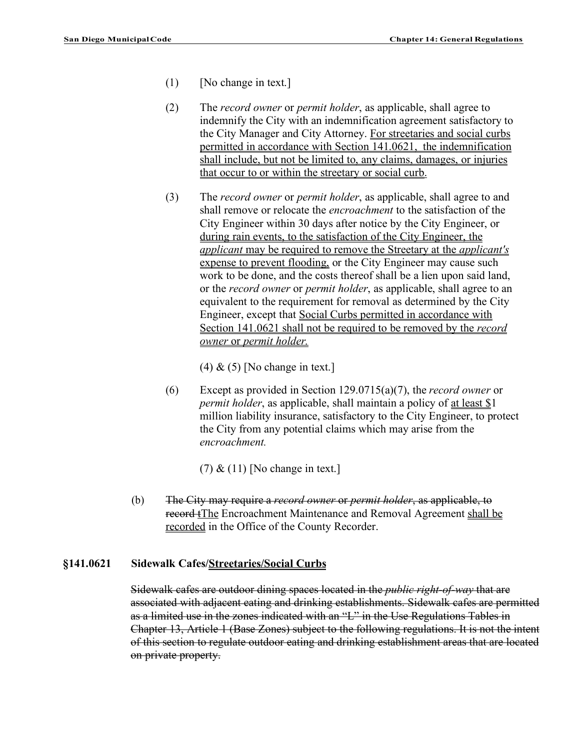- (1) [No change in text.]
- (2) The *record owner* or *permit holder*, as applicable, shall agree to indemnify the City with an indemnification agreement satisfactory to the City Manager and City Attorney. For streetaries and social curbs permitted in accordance with Section 141.0621, the indemnification shall include, but not be limited to, any claims, damages, or injuries that occur to or within the streetary or social curb.
- (3) The *record owner* or *permit holder*, as applicable, shall agree to and shall remove or relocate the *encroachment* to the satisfaction of the City Engineer within 30 days after notice by the City Engineer, or during rain events, to the satisfaction of the City Engineer, the *applicant* may be required to remove the Streetary at the *applicant's*  expense to prevent flooding, or the City Engineer may cause such work to be done, and the costs thereof shall be a lien upon said land, or the *record owner* or *permit holder*, as applicable, shall agree to an equivalent to the requirement for removal as determined by the City Engineer, except that Social Curbs permitted in accordance with Section 141.0621 shall not be required to be removed by the *record owner* or *permit holder.*

 $(4)$  &  $(5)$  [No change in text.]

(6) Except as provided in Section 129.0715(a)(7), the *record owner* or *permit holder*, as applicable, shall maintain a policy of <u>at least \$1</u> million liability insurance, satisfactory to the City Engineer, to protect the City from any potential claims which may arise from the *encroachment.*

 $(7)$  &  $(11)$  [No change in text.]

(b) The City may require a *record owner* or *permit holder*, as applicable, to record tThe Encroachment Maintenance and Removal Agreement shall be recorded in the Office of the County Recorder.

### **§141.0621 Sidewalk Cafes/Streetaries/Social Curbs**

Sidewalk cafes are outdoor dining spaces located in the *public right-of-way* that are associated with adjacent eating and drinking establishments. Sidewalk cafes are permitted as a limited use in the zones indicated with an "L" in the Use Regulations Tables in Chapter 13, Article 1 (Base Zones) subject to the following regulations. It is not the intent of this section to regulate outdoor eating and drinking establishment areas that are located on private property.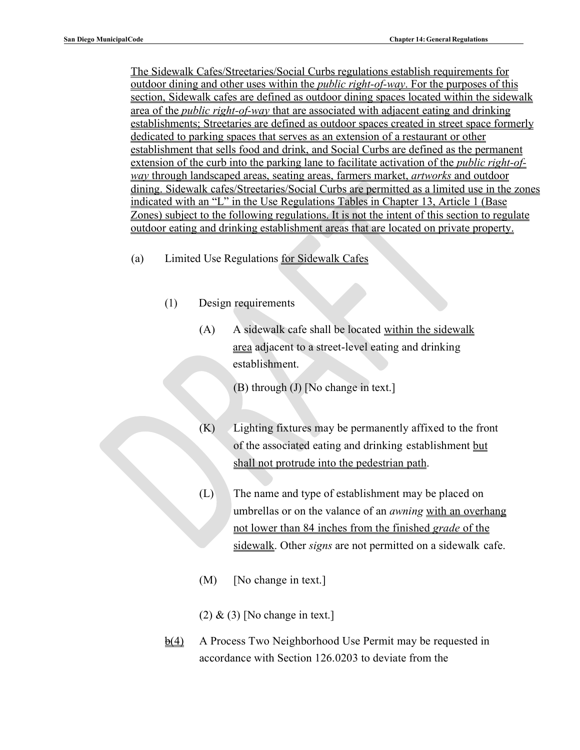The Sidewalk Cafes/Streetaries/Social Curbs regulations establish requirements for outdoor dining and other uses within the *public right-of-way*. For the purposes of this section, Sidewalk cafes are defined as outdoor dining spaces located within the sidewalk area of the *public right-of-way* that are associated with adjacent eating and drinking establishments; Streetaries are defined as outdoor spaces created in street space formerly dedicated to parking spaces that serves as an extension of a restaurant or other establishment that sells food and drink, and Social Curbs are defined as the permanent extension of the curb into the parking lane to facilitate activation of the *public right-ofway* through landscaped areas, seating areas, farmers market, *artworks* and outdoor dining. Sidewalk cafes/Streetaries/Social Curbs are permitted as a limited use in the zones indicated with an "L" in the Use Regulations Tables in Chapter 13, Article 1 (Base Zones) subject to the following regulations. It is not the intent of this section to regulate outdoor eating and drinking establishment areas that are located on private property.

- (a) Limited Use Regulations for Sidewalk Cafes
	- (1) Design requirements
		- (A) A sidewalk cafe shall be located within the sidewalk area adjacent to a street-level eating and drinking establishment.
			- (B) through (J) [No change in text.]
		- (K) Lighting fixtures may be permanently affixed to the front of the associated eating and drinking establishment but shall not protrude into the pedestrian path.
		- (L) The name and type of establishment may be placed on umbrellas or on the valance of an *awning* with an overhang not lower than 84 inches from the finished *grade* of the sidewalk. Other *signs* are not permitted on a sidewalk cafe.
		- $(M)$  [No change in text.]
		- $(2)$  &  $(3)$  [No change in text.]
	- $\frac{\Theta(4)}{2}$  A Process Two Neighborhood Use Permit may be requested in accordance with Section 126.0203 to deviate from the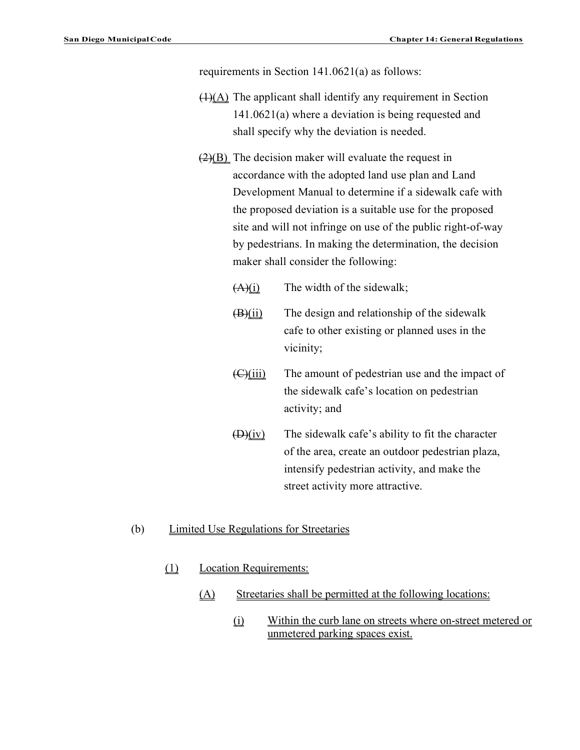requirements in Section 141.0621(a) as follows:

- $(1)(A)$  The applicant shall identify any requirement in Section 141.0621(a) where a deviation is being requested and shall specify why the deviation is needed.
- $(2)(B)$  The decision maker will evaluate the request in accordance with the adopted land use plan and Land Development Manual to determine if a sidewalk cafe with the proposed deviation is a suitable use for the proposed site and will not infringe on use of the public right-of-way by pedestrians. In making the determination, the decision maker shall consider the following:
	- $(A)(i)$  The width of the sidewalk;
	- $(B)(ii)$  The design and relationship of the sidewalk cafe to other existing or planned uses in the vicinity;
	- $\left(\frac{C}{\text{ii}}\right)$  The amount of pedestrian use and the impact of the sidewalk cafe's location on pedestrian activity; and
	- $(D)(iv)$  The sidewalk cafe's ability to fit the character of the area, create an outdoor pedestrian plaza, intensify pedestrian activity, and make the street activity more attractive.
- (b) Limited Use Regulations for Streetaries
	- (1) Location Requirements:
		- (A) Streetaries shall be permitted at the following locations:
			- (i) Within the curb lane on streets where on-street metered or unmetered parking spaces exist.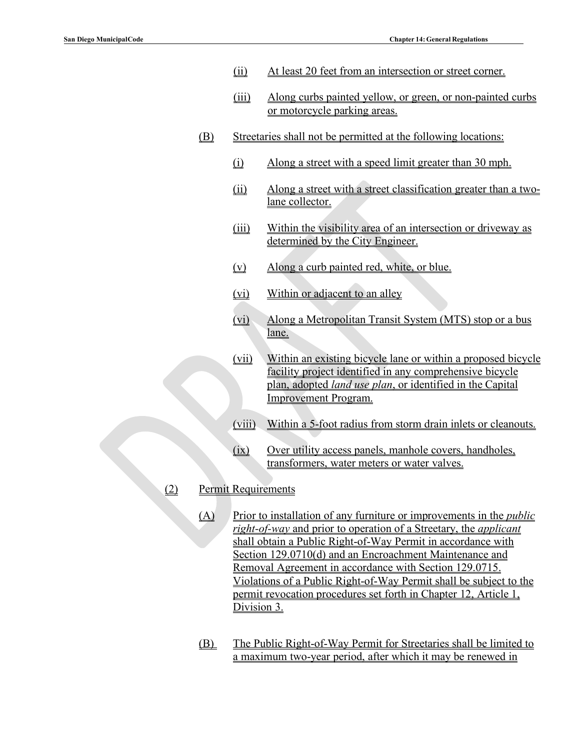- (ii) At least 20 feet from an intersection or street corner.
- (iii) Along curbs painted yellow, or green, or non-painted curbs or motorcycle parking areas.
- (B) Streetaries shall not be permitted at the following locations:
	- (i) Along a street with a speed limit greater than 30 mph.
	- (ii) Along a street with a street classification greater than a twolane collector.
	- (iii) Within the visibility area of an intersection or driveway as determined by the City Engineer.
	- (v) Along a curb painted red, white, or blue.
	- (vi) Within or adjacent to an alley
	- (vi) Along a Metropolitan Transit System (MTS) stop or a bus lane.
	- (vii) Within an existing bicycle lane or within a proposed bicycle facility project identified in any comprehensive bicycle plan, adopted *land use plan*, or identified in the Capital Improvement Program.
	- (viii) Within a 5-foot radius from storm drain inlets or cleanouts.
	- (ix) Over utility access panels, manhole covers, handholes, transformers, water meters or water valves.
- (2) Permit Requirements
	- (A) Prior to installation of any furniture or improvements in the *public right-of-way* and prior to operation of a Streetary, the *applicant*  shall obtain a Public Right-of-Way Permit in accordance with Section 129.0710(d) and an Encroachment Maintenance and Removal Agreement in accordance with Section 129.0715. Violations of a Public Right-of-Way Permit shall be subject to the permit revocation procedures set forth in Chapter 12, Article 1, Division 3.
	- (B) The Public Right-of-Way Permit for Streetaries shall be limited to a maximum two-year period, after which it may be renewed in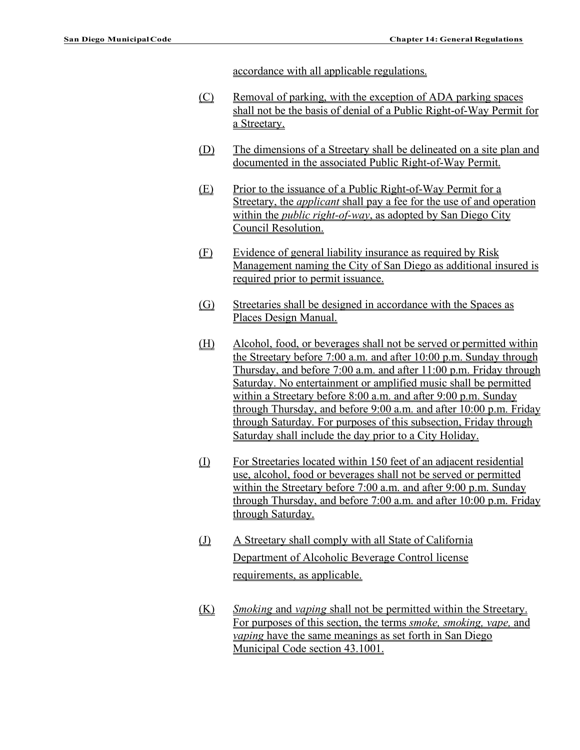accordance with all applicable regulations.

- (C) Removal of parking, with the exception of ADA parking spaces shall not be the basis of denial of a Public Right-of-Way Permit for a Streetary.
- (D) The dimensions of a Streetary shall be delineated on a site plan and documented in the associated Public Right-of-Way Permit.
- (E) Prior to the issuance of a Public Right-of-Way Permit for a Streetary, the *applicant* shall pay a fee for the use of and operation within the *public right-of-way*, as adopted by San Diego City Council Resolution.
- (F) Evidence of general liability insurance as required by Risk Management naming the City of San Diego as additional insured is required prior to permit issuance.
- (G) Streetaries shall be designed in accordance with the Spaces as Places Design Manual.
- (H) Alcohol, food, or beverages shall not be served or permitted within the Streetary before 7:00 a.m. and after 10:00 p.m. Sunday through Thursday, and before 7:00 a.m. and after 11:00 p.m. Friday through Saturday. No entertainment or amplified music shall be permitted within a Streetary before 8:00 a.m. and after 9:00 p.m. Sunday through Thursday, and before 9:00 a.m. and after 10:00 p.m. Friday through Saturday. For purposes of this subsection, Friday through Saturday shall include the day prior to a City Holiday.
- (I) For Streetaries located within 150 feet of an adjacent residential use, alcohol, food or beverages shall not be served or permitted within the Streetary before 7:00 a.m. and after 9:00 p.m. Sunday through Thursday, and before 7:00 a.m. and after 10:00 p.m. Friday through Saturday.
- (J) A Streetary shall comply with all State of California Department of Alcoholic Beverage Control license requirements, as applicable.
- (K) *Smoking* and *vaping* shall not be permitted within the Streetary. For purposes of this section, the terms *smoke, smoking, vape,* and *vaping* have the same meanings as set forth in San Diego Municipal Code section 43.1001.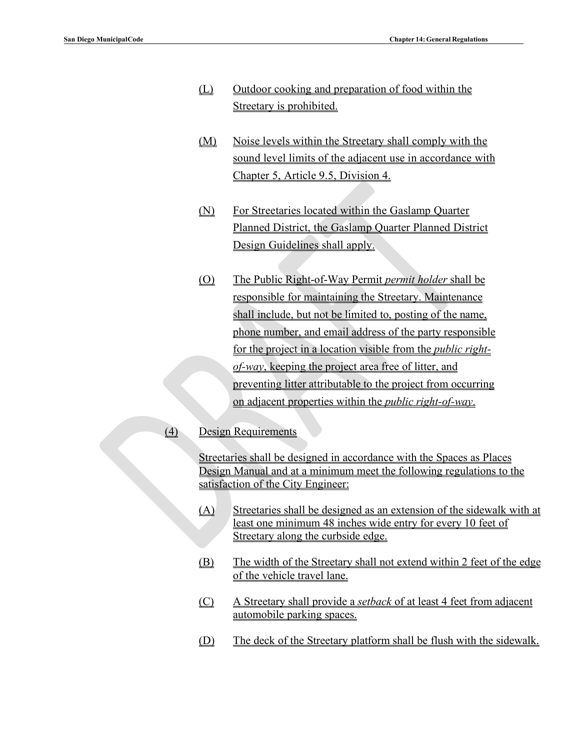- (L) Outdoor cooking and preparation of food within the Streetary is prohibited.
- (M) Noise levels within the Streetary shall comply with the sound level limits of the adjacent use in accordance with Chapter 5, Article 9.5, Division 4.
- (N) For Streetaries located within the Gaslamp Quarter Planned District, the Gaslamp Quarter Planned District Design Guidelines shall apply.
- (O) The Public Right-of-Way Permit *permit holder* shall be responsible for maintaining the Streetary. Maintenance shall include, but not be limited to, posting of the name, phone number, and email address of the party responsible for the project in a location visible from the *public rightof-way*, keeping the project area free of litter, and preventing litter attributable to the project from occurring on adjacent properties within the *public right-of-way*.

### (4) Design Requirements

Streetaries shall be designed in accordance with the Spaces as Places Design Manual and at a minimum meet the following regulations to the satisfaction of the City Engineer:

- (A) Streetaries shall be designed as an extension of the sidewalk with at least one minimum 48 inches wide entry for every 10 feet of Streetary along the curbside edge.
- (B) The width of the Streetary shall not extend within 2 feet of the edge of the vehicle travel lane.
- (C) A Streetary shall provide a *setback* of at least 4 feet from adjacent automobile parking spaces.
- (D) The deck of the Streetary platform shall be flush with the sidewalk.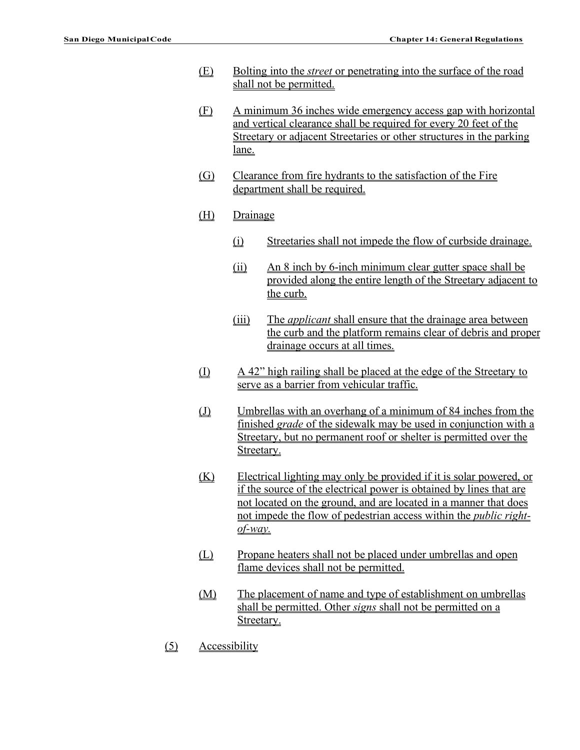- (E) Bolting into the *street* or penetrating into the surface of the road shall not be permitted.
- (F) A minimum 36 inches wide emergency access gap with horizontal and vertical clearance shall be required for every 20 feet of the Streetary or adjacent Streetaries or other structures in the parking lane.
- (G) Clearance from fire hydrants to the satisfaction of the Fire department shall be required.
- (H) Drainage
	- (i) Streetaries shall not impede the flow of curbside drainage.
	- (ii) An 8 inch by 6-inch minimum clear gutter space shall be provided along the entire length of the Streetary adjacent to the curb.
	- (iii) The *applicant* shall ensure that the drainage area between the curb and the platform remains clear of debris and proper drainage occurs at all times.
- (I) A 42" high railing shall be placed at the edge of the Streetary to serve as a barrier from vehicular traffic.
- (J) Umbrellas with an overhang of a minimum of 84 inches from the finished *grade* of the sidewalk may be used in conjunction with a Streetary, but no permanent roof or shelter is permitted over the Streetary.
- (K) Electrical lighting may only be provided if it is solar powered, or if the source of the electrical power is obtained by lines that are not located on the ground, and are located in a manner that does not impede the flow of pedestrian access within the *public rightof-way.*
- (L) Propane heaters shall not be placed under umbrellas and open flame devices shall not be permitted.
- (M) The placement of name and type of establishment on umbrellas shall be permitted. Other *signs* shall not be permitted on a Streetary.
- (5) Accessibility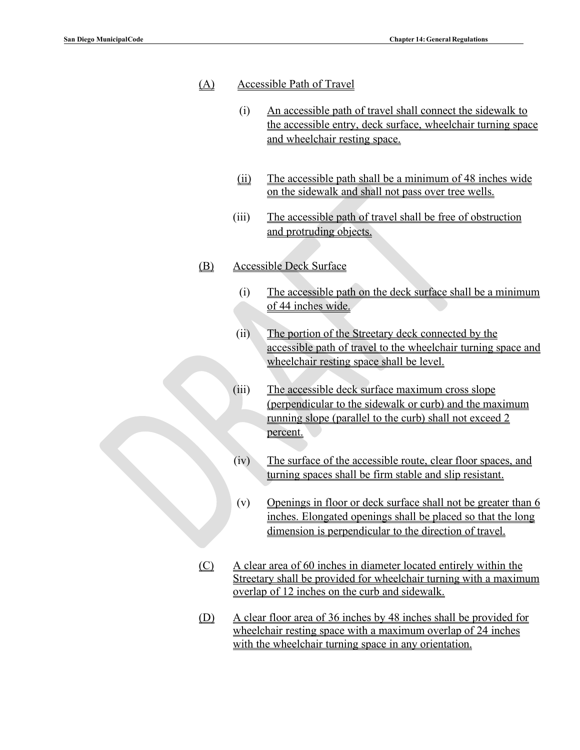### (A) Accessible Path of Travel

- (i) An accessible path of travel shall connect the sidewalk to the accessible entry, deck surface, wheelchair turning space and wheelchair resting space.
- (ii) The accessible path shall be a minimum of 48 inches wide on the sidewalk and shall not pass over tree wells.
- (iii) The accessible path of travel shall be free of obstruction and protruding objects.

### (B) Accessible Deck Surface

- (i) The accessible path on the deck surface shall be a minimum of 44 inches wide.
- (ii) The portion of the Streetary deck connected by the accessible path of travel to the wheelchair turning space and wheelchair resting space shall be level.
- (iii) The accessible deck surface maximum cross slope (perpendicular to the sidewalk or curb) and the maximum running slope (parallel to the curb) shall not exceed 2 percent.
- (iv) The surface of the accessible route, clear floor spaces, and turning spaces shall be firm stable and slip resistant.
- (v) Openings in floor or deck surface shall not be greater than  $6$ inches. Elongated openings shall be placed so that the long dimension is perpendicular to the direction of travel.
- (C) A clear area of 60 inches in diameter located entirely within the Streetary shall be provided for wheelchair turning with a maximum overlap of 12 inches on the curb and sidewalk.
- (D) A clear floor area of 36 inches by 48 inches shall be provided for wheelchair resting space with a maximum overlap of 24 inches with the wheelchair turning space in any orientation.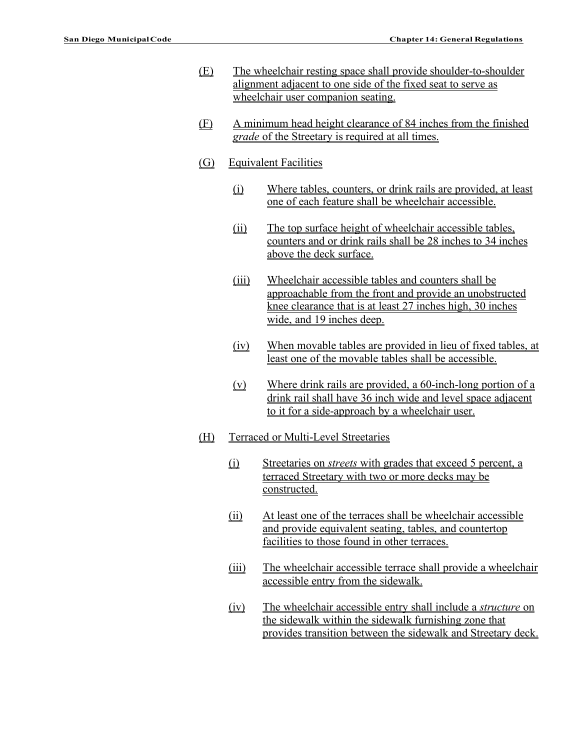- (E) The wheelchair resting space shall provide shoulder-to-shoulder alignment adjacent to one side of the fixed seat to serve as wheelchair user companion seating.
- (F) A minimum head height clearance of 84 inches from the finished *grade* of the Streetary is required at all times.
- (G) Equivalent Facilities
	- (i) Where tables, counters, or drink rails are provided, at least one of each feature shall be wheelchair accessible.
	- (ii) The top surface height of wheelchair accessible tables, counters and or drink rails shall be 28 inches to 34 inches above the deck surface.
	- (iii) Wheelchair accessible tables and counters shall be approachable from the front and provide an unobstructed knee clearance that is at least 27 inches high, 30 inches wide, and 19 inches deep.
	- (iv) When movable tables are provided in lieu of fixed tables, at least one of the movable tables shall be accessible.
	- (v) Where drink rails are provided, a 60-inch-long portion of a drink rail shall have 36 inch wide and level space adjacent to it for a side-approach by a wheelchair user.
- (H) Terraced or Multi-Level Streetaries
	- (i) Streetaries on *streets* with grades that exceed 5 percent, a terraced Streetary with two or more decks may be constructed.
	- (ii) At least one of the terraces shall be wheelchair accessible and provide equivalent seating, tables, and countertop facilities to those found in other terraces.
	- (iii) The wheelchair accessible terrace shall provide a wheelchair accessible entry from the sidewalk.
	- (iv) The wheelchair accessible entry shall include a *structure* on the sidewalk within the sidewalk furnishing zone that provides transition between the sidewalk and Streetary deck.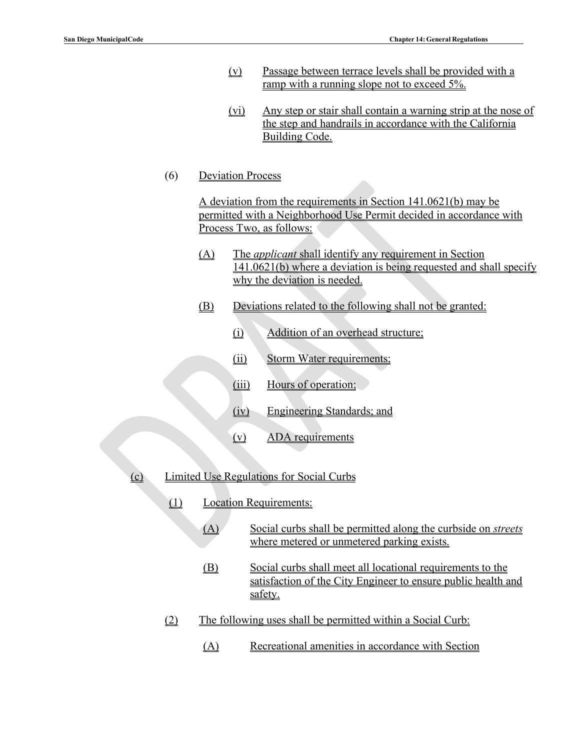- (v) Passage between terrace levels shall be provided with a ramp with a running slope not to exceed 5%.
- (vi) Any step or stair shall contain a warning strip at the nose of the step and handrails in accordance with the California Building Code.
- (6) Deviation Process

A deviation from the requirements in Section 141.0621(b) may be permitted with a Neighborhood Use Permit decided in accordance with Process Two, as follows:

- (A) The *applicant* shall identify any requirement in Section 141.0621(b) where a deviation is being requested and shall specify why the deviation is needed.
- (B) Deviations related to the following shall not be granted:
	- (i) Addition of an overhead structure;
	- (ii) Storm Water requirements;
	- (iii) Hours of operation;
	- (iv) Engineering Standards; and
	- (v) ADA requirements
- (c) Limited Use Regulations for Social Curbs
	- (1) Location Requirements:
		- (A) Social curbs shall be permitted along the curbside on *streets*  where metered or unmetered parking exists.
		- (B) Social curbs shall meet all locational requirements to the satisfaction of the City Engineer to ensure public health and safety.
	- (2) The following uses shall be permitted within a Social Curb:
		- (A) Recreational amenities in accordance with Section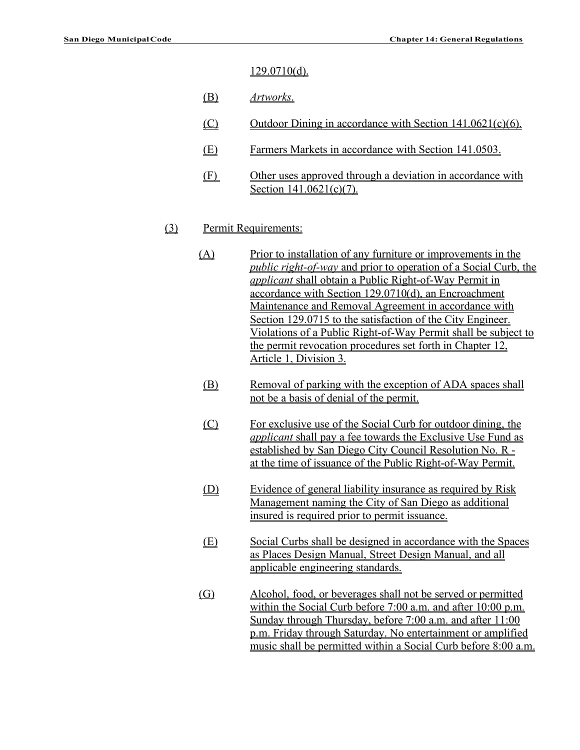#### $129.0710(d)$ .

- (B) *Artworks*.
- (C) Outdoor Dining in accordance with Section  $141.0621(c)(6)$ .
- (E) Farmers Markets in accordance with Section 141.0503.
- (F) Other uses approved through a deviation in accordance with Section 141.0621(c)(7).

#### (3) Permit Requirements:

- (A) Prior to installation of any furniture or improvements in the *public right-of-way* and prior to operation of a Social Curb, the *applicant* shall obtain a Public Right-of-Way Permit in accordance with Section 129.0710(d), an Encroachment Maintenance and Removal Agreement in accordance with Section 129.0715 to the satisfaction of the City Engineer. Violations of a Public Right-of-Way Permit shall be subject to the permit revocation procedures set forth in Chapter 12, Article 1, Division 3.
	- (B) Removal of parking with the exception of ADA spaces shall not be a basis of denial of the permit.
	- (C) For exclusive use of the Social Curb for outdoor dining, the *applicant* shall pay a fee towards the Exclusive Use Fund as established by San Diego City Council Resolution No. R at the time of issuance of the Public Right-of-Way Permit.
	- (D) Evidence of general liability insurance as required by Risk Management naming the City of San Diego as additional insured is required prior to permit issuance.
	- (E) Social Curbs shall be designed in accordance with the Spaces as Places Design Manual, Street Design Manual, and all applicable engineering standards.
- (G) Alcohol, food, or beverages shall not be served or permitted within the Social Curb before 7:00 a.m. and after 10:00 p.m. Sunday through Thursday, before 7:00 a.m. and after 11:00 p.m. Friday through Saturday. No entertainment or amplified music shall be permitted within a Social Curb before 8:00 a.m.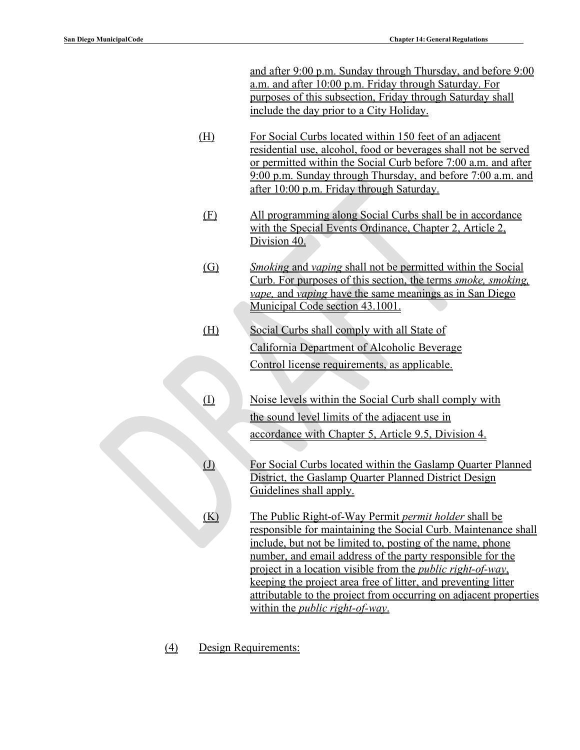and after 9:00 p.m. Sunday through Thursday, and before 9:00 a.m. and after 10:00 p.m. Friday through Saturday. For purposes of this subsection, Friday through Saturday shall include the day prior to a City Holiday.

- (H) For Social Curbs located within 150 feet of an adjacent residential use, alcohol, food or beverages shall not be served or permitted within the Social Curb before 7:00 a.m. and after 9:00 p.m. Sunday through Thursday, and before 7:00 a.m. and after 10:00 p.m. Friday through Saturday.
- (F) All programming along Social Curbs shall be in accordance with the Special Events Ordinance, Chapter 2, Article 2, Division 40.
- (G) *Smoking* and *vaping* shall not be permitted within the Social Curb. For purposes of this section, the terms *smoke, smoking, vape,* and *vaping* have the same meanings as in San Diego Municipal Code section 43.1001.
- (H) Social Curbs shall comply with all State of California Department of Alcoholic Beverage Control license requirements, as applicable.
- (I) Noise levels within the Social Curb shall comply with the sound level limits of the adjacent use in accordance with Chapter 5, Article 9.5, Division 4.
- (J) For Social Curbs located within the Gaslamp Quarter Planned District, the Gaslamp Quarter Planned District Design Guidelines shall apply.
- (K) The Public Right-of-Way Permit *permit holder* shall be responsible for maintaining the Social Curb. Maintenance shall include, but not be limited to, posting of the name, phone number, and email address of the party responsible for the project in a location visible from the *public right-of-way*, keeping the project area free of litter, and preventing litter attributable to the project from occurring on adjacent properties within the *public right-of-way*.
- (4) Design Requirements: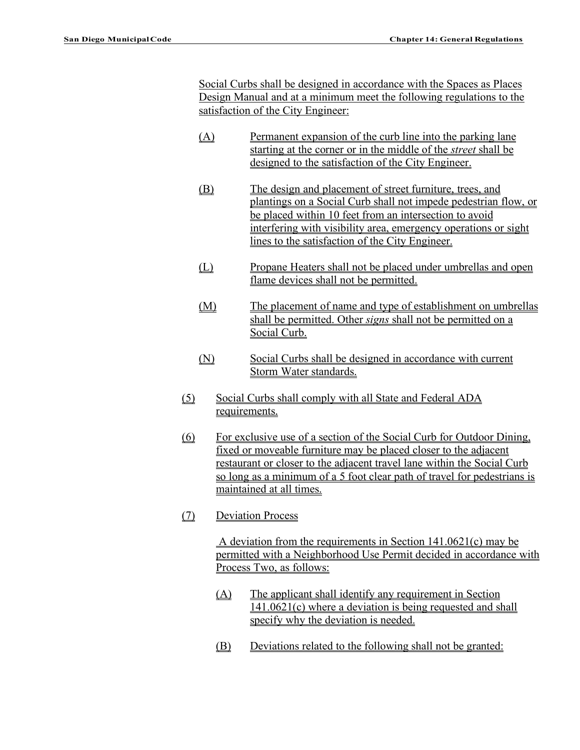Social Curbs shall be designed in accordance with the Spaces as Places Design Manual and at a minimum meet the following regulations to the satisfaction of the City Engineer:

- (A) Permanent expansion of the curb line into the parking lane starting at the corner or in the middle of the *street* shall be designed to the satisfaction of the City Engineer.
- (B) The design and placement of street furniture, trees, and plantings on a Social Curb shall not impede pedestrian flow, or be placed within 10 feet from an intersection to avoid interfering with visibility area, emergency operations or sight lines to the satisfaction of the City Engineer.
- (L) Propane Heaters shall not be placed under umbrellas and open flame devices shall not be permitted.
- (M) The placement of name and type of establishment on umbrellas shall be permitted. Other *signs* shall not be permitted on a Social Curb.
- (N) Social Curbs shall be designed in accordance with current Storm Water standards.
- (5) Social Curbs shall comply with all State and Federal ADA requirements.
- (6) For exclusive use of a section of the Social Curb for Outdoor Dining, fixed or moveable furniture may be placed closer to the adjacent restaurant or closer to the adjacent travel lane within the Social Curb so long as a minimum of a 5 foot clear path of travel for pedestrians is maintained at all times.
- (7) Deviation Process

A deviation from the requirements in Section 141.0621(c) may be permitted with a Neighborhood Use Permit decided in accordance with Process Two, as follows:

- (A) The applicant shall identify any requirement in Section 141.0621(c) where a deviation is being requested and shall specify why the deviation is needed.
- (B) Deviations related to the following shall not be granted: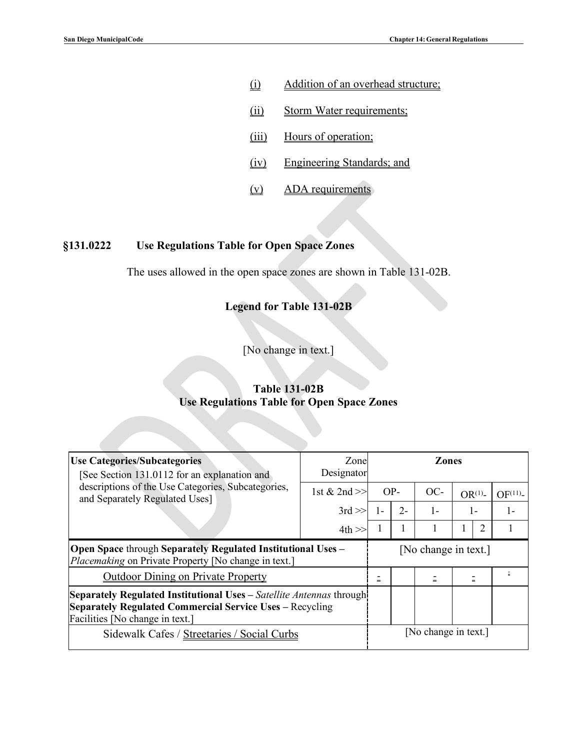- (i) Addition of an overhead structure;
- (ii) Storm Water requirements;
- (iii) Hours of operation;
- (iv) Engineering Standards; and
- (v) ADA requirements

## **§131.0222 Use Regulations Table for Open Space Zones**

The uses allowed in the open space zones are shown in Table 131-02B.

## **Legend for Table 131-02B**

[No change in text.]

### **Table 131-02B Use Regulations Table for Open Space Zones**

| <b>Use Categories/Subcategories</b><br>[See Section 131.0112 for an explanation and                                                                                                | Zone<br>Designator | <b>Zones</b> |  |                              |                   |     |                    |  |  |  |
|------------------------------------------------------------------------------------------------------------------------------------------------------------------------------------|--------------------|--------------|--|------------------------------|-------------------|-----|--------------------|--|--|--|
| descriptions of the Use Categories, Subcategories,<br>and Separately Regulated Uses]                                                                                               | 1st & 2nd $>>$     | $OP-$        |  | $OC-$                        | OR <sup>(1)</sup> |     | OF <sup>(11)</sup> |  |  |  |
|                                                                                                                                                                                    | $3rd \gg$          | $2 -$<br>1-  |  | $1 -$                        | $1 -$             |     |                    |  |  |  |
|                                                                                                                                                                                    | $4th \gg$          |              |  | 1                            | 1                 | 2   |                    |  |  |  |
| <b>Open Space through Separately Regulated Institutional Uses -</b><br><i>Placemaking</i> on Private Property [No change in text.]                                                 |                    |              |  | [No change in text.]         |                   |     |                    |  |  |  |
| <b>Outdoor Dining on Private Property</b>                                                                                                                                          |                    | -<br>$=$     |  | $\qquad \qquad \blacksquare$ |                   | $=$ |                    |  |  |  |
| <b>Separately Regulated Institutional Uses</b> – Satellite Antennas through!<br><b>Separately Regulated Commercial Service Uses – Recycling</b><br>Facilities [No change in text.] |                    |              |  |                              |                   |     |                    |  |  |  |
| Sidewalk Cafes / Streetaries / Social Curbs                                                                                                                                        |                    |              |  | [No change in text.]         |                   |     |                    |  |  |  |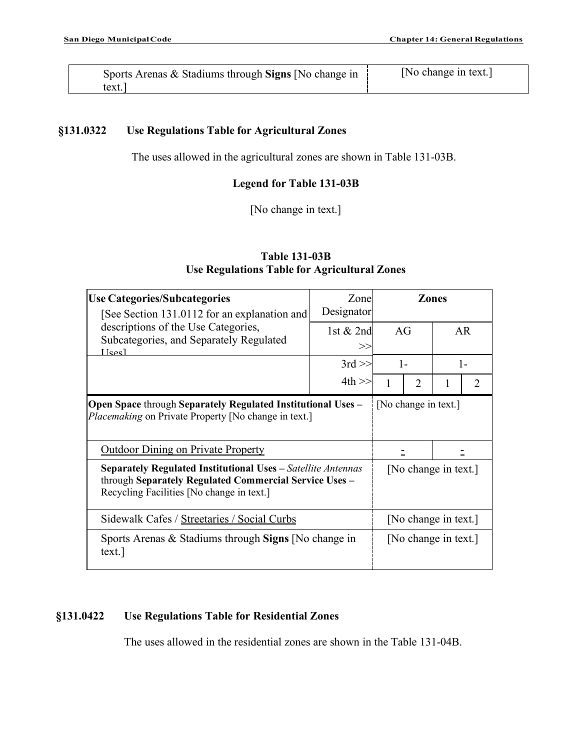| Sports Arenas & Stadiums through Signs [No change in | [No change in text.] |
|------------------------------------------------------|----------------------|
| text.                                                |                      |

### **§131.0322 Use Regulations Table for Agricultural Zones**

The uses allowed in the agricultural zones are shown in Table 131-03B.

## **Legend for Table 131-03B**

[No change in text.]

# **Table 131-03B Use Regulations Table for Agricultural Zones**

| <b>Use Categories/Subcategories</b><br>[See Section 131.0112 for an explanation and                                                                                 | Zone<br>Designator |       |                      | <b>Zones</b>         |                |  |
|---------------------------------------------------------------------------------------------------------------------------------------------------------------------|--------------------|-------|----------------------|----------------------|----------------|--|
| descriptions of the Use Categories,<br>Subcategories, and Separately Regulated<br><u>Heed</u>                                                                       | 1st $& 2nd$<br>>   | AG    |                      | <b>AR</b>            |                |  |
|                                                                                                                                                                     | $3rd \gg$          | $1 -$ |                      | $1 -$                |                |  |
|                                                                                                                                                                     | $4th \gg$          |       | $\overline{2}$       |                      | $\mathfrak{D}$ |  |
| <b>Open Space through Separately Regulated Institutional Uses -</b><br>Placemaking on Private Property [No change in text.]                                         |                    |       | [No change in text.] |                      |                |  |
| <b>Outdoor Dining on Private Property</b>                                                                                                                           |                    |       |                      |                      |                |  |
| Separately Regulated Institutional Uses - Satellite Antennas<br>through Separately Regulated Commercial Service Uses -<br>Recycling Facilities [No change in text.] |                    |       |                      | [No change in text.] |                |  |
| Sidewalk Cafes / Streetaries / Social Curbs                                                                                                                         |                    |       |                      | [No change in text.] |                |  |
| Sports Arenas & Stadiums through Signs [No change in<br>text.                                                                                                       |                    |       |                      | [No change in text.] |                |  |

# **§131.0422 Use Regulations Table for Residential Zones**

The uses allowed in the residential zones are shown in the Table 131-04B.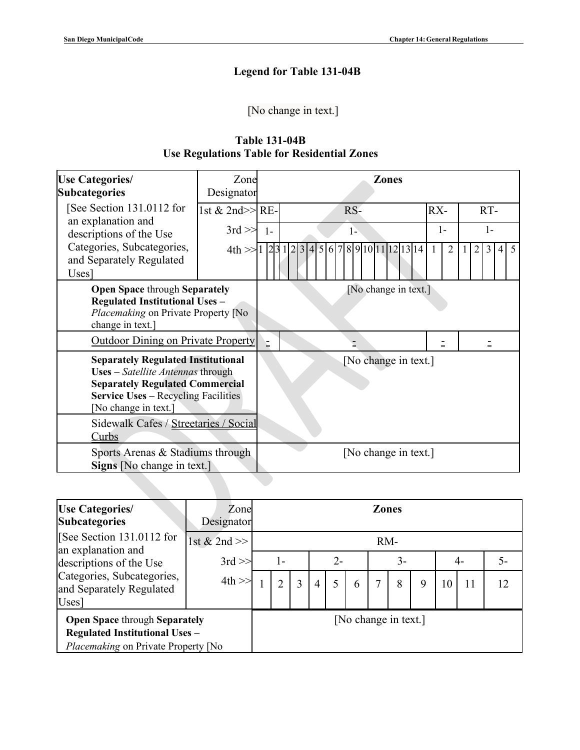# **Legend for Table 131-04B**

[No change in text.]

| <b>Table 131-04B</b>                               |  |  |  |  |  |  |  |  |  |  |
|----------------------------------------------------|--|--|--|--|--|--|--|--|--|--|
| <b>Use Regulations Table for Residential Zones</b> |  |  |  |  |  |  |  |  |  |  |

| <b>Use Categories/</b><br><b>Subcategories</b>                                                                                                                                                 | Zone<br>Designator |                      | <b>Zones</b>                       |                |                      |  |  |  |  |  |  |
|------------------------------------------------------------------------------------------------------------------------------------------------------------------------------------------------|--------------------|----------------------|------------------------------------|----------------|----------------------|--|--|--|--|--|--|
| See Section 131.0112 for                                                                                                                                                                       | 1st & 2nd>> RE-    |                      | RS-                                | RX-            | RT-                  |  |  |  |  |  |  |
| an explanation and<br>descriptions of the Use                                                                                                                                                  | $3rd \gg$          | $1 -$                | $1-$                               | $1-$           | $1-$                 |  |  |  |  |  |  |
| Categories, Subcategories,<br>and Separately Regulated<br>Uses]                                                                                                                                | 4th > 1231         |                      | 5 6 7 8 9 10 11 12 13 14<br>2<br>3 | $\overline{2}$ | $5\overline{)}$<br>2 |  |  |  |  |  |  |
| <b>Open Space through Separately</b><br><b>Regulated Institutional Uses -</b><br>Placemaking on Private Property [No<br>change in text.]                                                       |                    |                      | [No change in text.]               |                |                      |  |  |  |  |  |  |
| <b>Outdoor Dining on Private Property</b>                                                                                                                                                      |                    | Ē                    |                                    | Ξ              |                      |  |  |  |  |  |  |
| <b>Separately Regulated Institutional</b><br>Uses - Satellite Antennas through<br><b>Separately Regulated Commercial</b><br><b>Service Uses - Recycling Facilities</b><br>[No change in text.] |                    |                      | [No change in text.]               |                |                      |  |  |  |  |  |  |
| Sidewalk Cafes / Streetaries / Social<br>Curbs                                                                                                                                                 |                    |                      |                                    |                |                      |  |  |  |  |  |  |
| Sports Arenas & Stadiums through<br>Signs [No change in text.]                                                                                                                                 |                    | [No change in text.] |                                    |                |                      |  |  |  |  |  |  |
|                                                                                                                                                                                                |                    |                      |                                    |                |                      |  |  |  |  |  |  |

| <b>Use Categories/</b><br><b>Subcategories</b>                                                                       | Zone<br>Designator | <b>Zones</b> |                |                |                |  |                      |      |   |   |    |    |    |
|----------------------------------------------------------------------------------------------------------------------|--------------------|--------------|----------------|----------------|----------------|--|----------------------|------|---|---|----|----|----|
| [See Section 131.0112 for<br>an explanation and                                                                      | 1st & 2nd $>$      |              |                |                |                |  |                      | RM-  |   |   |    |    |    |
| descriptions of the Use                                                                                              | $3rd \gg$          | 1-           |                |                | $2 -$          |  |                      | $3-$ |   |   | 4- |    | 5- |
| Categories, Subcategories,<br>and Separately Regulated<br>Uses]                                                      | 4th                |              | $\overline{2}$ | $\overline{3}$ | $\overline{4}$ |  | 6                    |      | 8 | 9 | 10 | 11 | 12 |
| <b>Open Space through Separately</b><br><b>Regulated Institutional Uses -</b><br>Placemaking on Private Property [No |                    |              |                |                |                |  | [No change in text.] |      |   |   |    |    |    |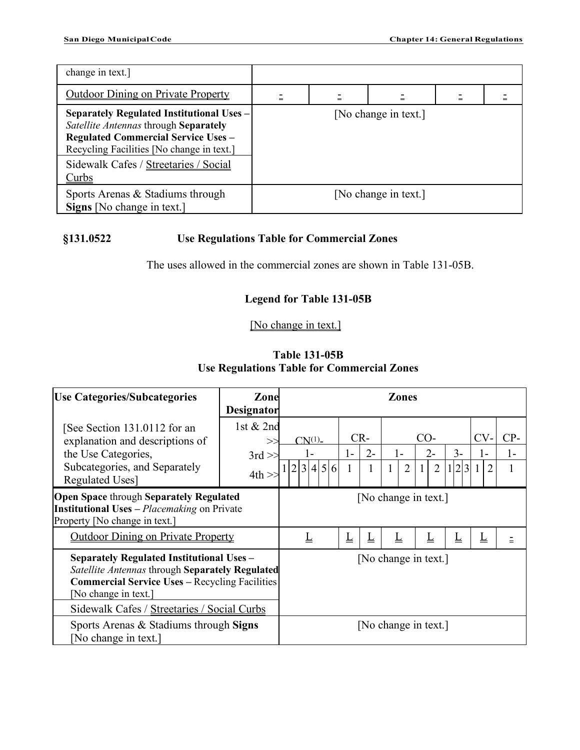| change in text.]                                                                                                                                                                                                                       |     |                      |  |
|----------------------------------------------------------------------------------------------------------------------------------------------------------------------------------------------------------------------------------------|-----|----------------------|--|
| <b>Outdoor Dining on Private Property</b>                                                                                                                                                                                              | $=$ |                      |  |
| Separately Regulated Institutional Uses -<br>Satellite Antennas through Separately<br><b>Regulated Commercial Service Uses -</b><br>Recycling Facilities [No change in text.]<br>Sidewalk Cafes / Streetaries / Social<br><u>Curbs</u> |     | [No change in text.] |  |
| Sports Arenas & Stadiums through<br>Signs [No change in text.]                                                                                                                                                                         |     | [No change in text.] |  |

# **§131.0522 Use Regulations Table for Commercial Zones**

The uses allowed in the commercial zones are shown in Table 131-05B.

# **Legend for Table 131-05B**

[No change in text.]

| <b>Table 131-05B</b>                       |  |  |  |  |  |  |  |  |  |  |
|--------------------------------------------|--|--|--|--|--|--|--|--|--|--|
| Use Regulations Table for Commercial Zones |  |  |  |  |  |  |  |  |  |  |

| <b>Use Categories/Subcategories</b>                                                                                                                                                                                                 | Zone<br>Designator   | Zones                    |      |                      |                     |                |         |                          |       |  |  |
|-------------------------------------------------------------------------------------------------------------------------------------------------------------------------------------------------------------------------------------|----------------------|--------------------------|------|----------------------|---------------------|----------------|---------|--------------------------|-------|--|--|
| [See Section 131.0112 for an<br>explanation and descriptions of                                                                                                                                                                     | 1st $& 2nd$<br>>>    | $CN^{(1)}$ -             |      | $CR-$                |                     | $CO-$          |         | $CV-$                    | $CP-$ |  |  |
| the Use Categories,                                                                                                                                                                                                                 | $3rd \gg$            |                          | $1-$ | $2 -$                | $1-$                | $2 -$          | $3 -$   | 1-                       | 1-    |  |  |
| Subcategories, and Separately<br><b>Regulated Uses]</b>                                                                                                                                                                             | 4th                  | 2 3 4 5 6                |      | 1                    | $\overline{2}$<br>1 | $\overline{2}$ | 1 2 3 1 |                          |       |  |  |
| <b>Open Space through Separately Regulated</b><br><b>Institutional Uses</b> – <i>Placemaking</i> on Private<br>Property [No change in text.]                                                                                        | [No change in text.] |                          |      |                      |                     |                |         |                          |       |  |  |
| <b>Outdoor Dining on Private Property</b>                                                                                                                                                                                           |                      | $\underline{\mathsf{L}}$ | L    | ⊥                    | L                   | ┶              | L       | $\underline{\mathsf{L}}$ | $=$   |  |  |
| <b>Separately Regulated Institutional Uses -</b><br>Satellite Antennas through Separately Regulated<br><b>Commercial Service Uses - Recycling Facilities</b><br>[No change in text.]<br>Sidewalk Cafes / Streetaries / Social Curbs |                      |                          |      | [No change in text.] |                     |                |         |                          |       |  |  |
| Sports Arenas & Stadiums through Signs<br>No change in text.]                                                                                                                                                                       | [No change in text.] |                          |      |                      |                     |                |         |                          |       |  |  |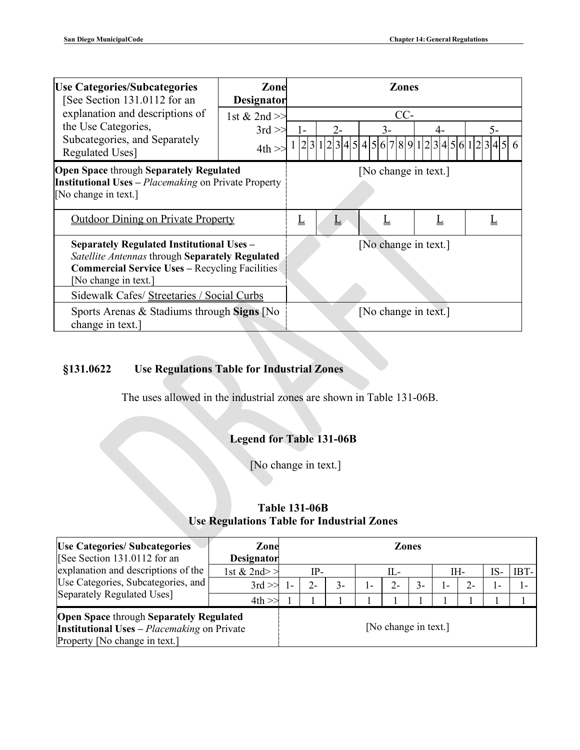| <b>Use Categories/Subcategories</b><br>[See Section 131.0112 for an                                                                                                                                                                | Zone<br><b>Designator</b>                 |    |                      | <b>Zones</b> |   |                                                             |  |
|------------------------------------------------------------------------------------------------------------------------------------------------------------------------------------------------------------------------------------|-------------------------------------------|----|----------------------|--------------|---|-------------------------------------------------------------|--|
| explanation and descriptions of<br>the Use Categories,<br>Subcategories, and Separately<br><b>Regulated Uses]</b>                                                                                                                  | 1st & 2nd $\gg$<br>$3rd \gg$<br>$4th \gg$ | 1- | $2 -$                | CC-<br>3-    |   | 5-<br>$1 2 3 1 2 3 4 5 4 5 6 7 8 9 1 2 3 4 5 6 1 2 3 4 5 6$ |  |
| <b>Open Space through Separately Regulated</b><br><b>Institutional Uses</b> – <i>Placemaking</i> on Private Property<br>[No change in text.]                                                                                       | [No change in text.]                      |    |                      |              |   |                                                             |  |
| <b>Outdoor Dining on Private Property</b>                                                                                                                                                                                          |                                           | Ţ  |                      | ∐            | ∐ | L                                                           |  |
| <b>Separately Regulated Institutional Uses -</b><br>Satellite Antennas through Separately Regulated<br><b>Commercial Service Uses - Recycling Facilities</b><br>[No change in text.]<br>Sidewalk Cafes/ Streetaries / Social Curbs |                                           |    | [No change in text.] |              |   |                                                             |  |
| Sports Arenas & Stadiums through Signs [No<br>change in text.]                                                                                                                                                                     |                                           |    | [No change in text.] |              |   |                                                             |  |

# **§131.0622 Use Regulations Table for Industrial Zones**

The uses allowed in the industrial zones are shown in Table 131-06B.

# **Legend for Table 131-06B**

[No change in text.]

# **Table 131-06B Use Regulations Table for Industrial Zones**

| <b>Use Categories/Subcategories</b><br>[See Section 131.0112 for an                                                                   | Zone<br><b>Designator</b> |  |       |      |  |                      | <b>Zones</b> |                |      |                |        |
|---------------------------------------------------------------------------------------------------------------------------------------|---------------------------|--|-------|------|--|----------------------|--------------|----------------|------|----------------|--------|
| explanation and descriptions of the                                                                                                   | 1st & 2nd>>               |  | IP-   |      |  | IL-                  |              |                | IH-  |                | $IBT-$ |
| Use Categories, Subcategories, and                                                                                                    | $3rd \gg$                 |  | $2 -$ | $3-$ |  |                      | $3-$         | $\mathbf{I}$ – | $2-$ | $\mathbf{I}$ – |        |
| Separately Regulated Uses]                                                                                                            | 4th                       |  |       |      |  |                      |              |                |      |                |        |
| <b>Open Space through Separately Regulated</b><br><b>Institutional Uses</b> - Placemaking on Private<br>Property [No change in text.] |                           |  |       |      |  | [No change in text.] |              |                |      |                |        |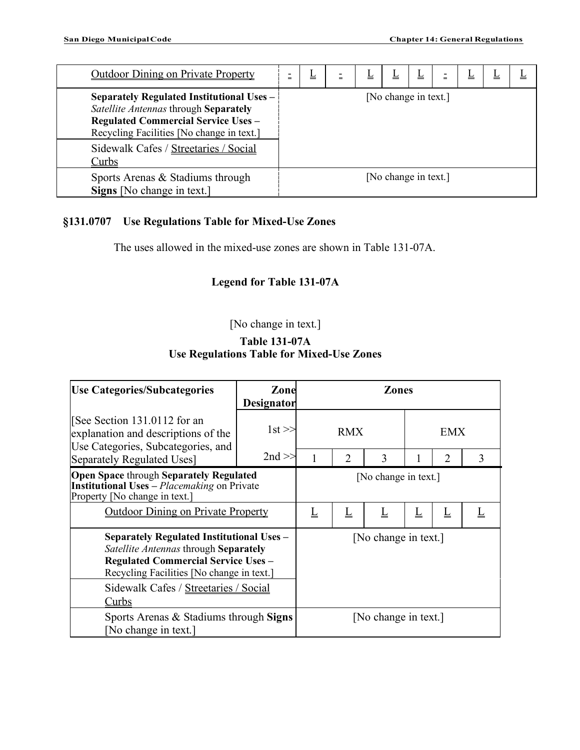| <b>Outdoor Dining on Private Property</b>                                                                                                                                                                                                | $=$                  | ╩ | Ξ |  |                      | ட | ╩ | ∸ |  |
|------------------------------------------------------------------------------------------------------------------------------------------------------------------------------------------------------------------------------------------|----------------------|---|---|--|----------------------|---|---|---|--|
| Separately Regulated Institutional Uses $-$<br>Satellite Antennas through Separately<br><b>Regulated Commercial Service Uses -</b><br>Recycling Facilities [No change in text.]<br>Sidewalk Cafes / Streetaries / Social<br><u>Curbs</u> |                      |   |   |  | [No change in text.] |   |   |   |  |
| Sports Arenas & Stadiums through<br>Signs [No change in text.]                                                                                                                                                                           | [No change in text.] |   |   |  |                      |   |   |   |  |

# **§131.0707 Use Regulations Table for Mixed-Use Zones**

The uses allowed in the mixed-use zones are shown in Table 131-07A.

## **Legend for Table 131-07A**

# [No change in text.]

## **Table 131-07A Use Regulations Table for Mixed-Use Zones**

| <b>Use Categories/Subcategories</b>                                                                                                                                                                                           | Zone              | <b>Zones</b>         |                |                     |            |   |   |
|-------------------------------------------------------------------------------------------------------------------------------------------------------------------------------------------------------------------------------|-------------------|----------------------|----------------|---------------------|------------|---|---|
|                                                                                                                                                                                                                               | <b>Designator</b> |                      |                |                     |            |   |   |
| [See Section 131.0112 for an<br>explanation and descriptions of the<br>Use Categories, Subcategories, and<br>Separately Regulated Uses]                                                                                       | $1st \gg$         | <b>RMX</b>           |                |                     | <b>EMX</b> |   |   |
|                                                                                                                                                                                                                               | $2nd \gg$         |                      | $\overline{2}$ | 3                   |            | 2 | 3 |
| <b>Open Space through Separately Regulated</b><br><b>Institutional Uses</b> – <i>Placemaking</i> on Private<br>Property [No change in text.]                                                                                  |                   | [No change in text.] |                |                     |            |   |   |
| <b>Outdoor Dining on Private Property</b>                                                                                                                                                                                     |                   | L                    | L              | $\overline{\Gamma}$ | L          | L |   |
| <b>Separately Regulated Institutional Uses -</b><br>Satellite Antennas through Separately<br><b>Regulated Commercial Service Uses -</b><br>Recycling Facilities [No change in text.]<br>Sidewalk Cafes / Streetaries / Social |                   | [No change in text.] |                |                     |            |   |   |
| <u>Curbs</u>                                                                                                                                                                                                                  |                   |                      |                |                     |            |   |   |
| Sports Arenas & Stadiums through Signs<br>No change in text.]                                                                                                                                                                 |                   | [No change in text.] |                |                     |            |   |   |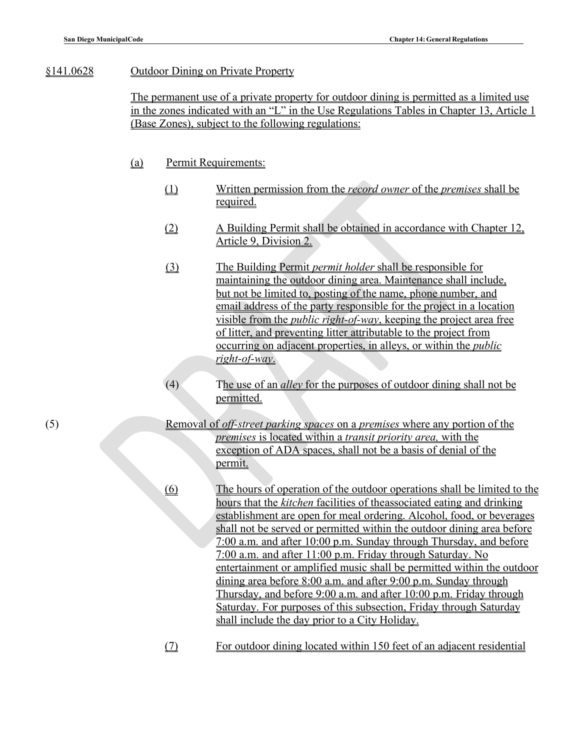### §141.0628 Outdoor Dining on Private Property

The permanent use of a private property for outdoor dining is permitted as a limited use in the zones indicated with an "L" in the Use Regulations Tables in Chapter 13, Article 1 (Base Zones), subject to the following regulations:

#### (a) Permit Requirements:

- (1) Written permission from the *record owner* of the *premises* shall be required.
- (2) A Building Permit shall be obtained in accordance with Chapter 12, Article 9, Division 2.
- (3) The Building Permit *permit holder* shall be responsible for maintaining the outdoor dining area. Maintenance shall include, but not be limited to, posting of the name, phone number, and email address of the party responsible for the project in a location visible from the *public right-of-way*, keeping the project area free of litter, and preventing litter attributable to the project from occurring on adjacent properties, in alleys, or within the *public right-of-way*.
- (4) The use of an *alley* for the purposes of outdoor dining shall not be permitted.
- (5) Removal of *off-street parking spaces* on a *premises* where any portion of the *premises* is located within a *transit priority area,* with the exception of ADA spaces, shall not be a basis of denial of the permit.

(6) The hours of operation of the outdoor operations shall be limited to the hours that the *kitchen* facilities of theassociated eating and drinking establishment are open for meal ordering. Alcohol, food, or beverages shall not be served or permitted within the outdoor dining area before 7:00 a.m. and after 10:00 p.m. Sunday through Thursday, and before 7:00 a.m. and after 11:00 p.m. Friday through Saturday. No entertainment or amplified music shall be permitted within the outdoor dining area before 8:00 a.m. and after 9:00 p.m. Sunday through Thursday, and before 9:00 a.m. and after 10:00 p.m. Friday through Saturday. For purposes of this subsection, Friday through Saturday shall include the day prior to a City Holiday.

(7) For outdoor dining located within 150 feet of an adjacent residential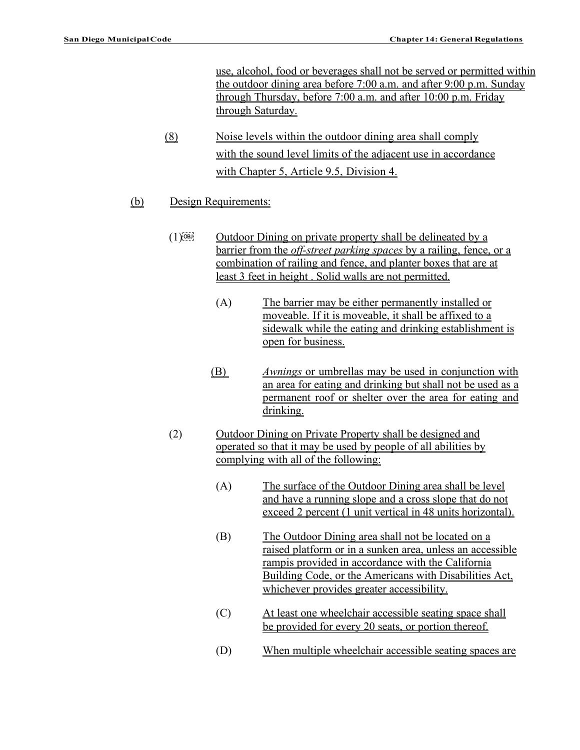use, alcohol, food or beverages shall not be served or permitted within the outdoor dining area before 7:00 a.m. and after 9:00 p.m. Sunday through Thursday, before 7:00 a.m. and after 10:00 p.m. Friday through Saturday.

- (8) Noise levels within the outdoor dining area shall comply with the sound level limits of the adjacent use in accordance with Chapter 5, Article 9.5, Division 4.
- (b) Design Requirements:
	- $(1)$ <sup>[OBJ]</sup> Outdoor Dining on private property shall be delineated by a barrier from the *off-street parking spaces* by a railing, fence, or a combination of railing and fence, and planter boxes that are at least 3 feet in height . Solid walls are not permitted.
		- (A) The barrier may be either permanently installed or moveable. If it is moveable, it shall be affixed to a sidewalk while the eating and drinking establishment is open for business.
		- (B) *Awnings* or umbrellas may be used in conjunction with an area for eating and drinking but shall not be used as a permanent roof or shelter over the area for eating and drinking.
	- (2) Outdoor Dining on Private Property shall be designed and operated so that it may be used by people of all abilities by complying with all of the following:
		- (A) The surface of the Outdoor Dining area shall be level and have a running slope and a cross slope that do not exceed 2 percent (1 unit vertical in 48 units horizontal).
		- (B) The Outdoor Dining area shall not be located on a raised platform or in a sunken area, unless an accessible rampis provided in accordance with the California Building Code, or the Americans with Disabilities Act, whichever provides greater accessibility.
		- (C) At least one wheelchair accessible seating space shall be provided for every 20 seats, or portion thereof.
		- (D) When multiple wheelchair accessible seating spaces are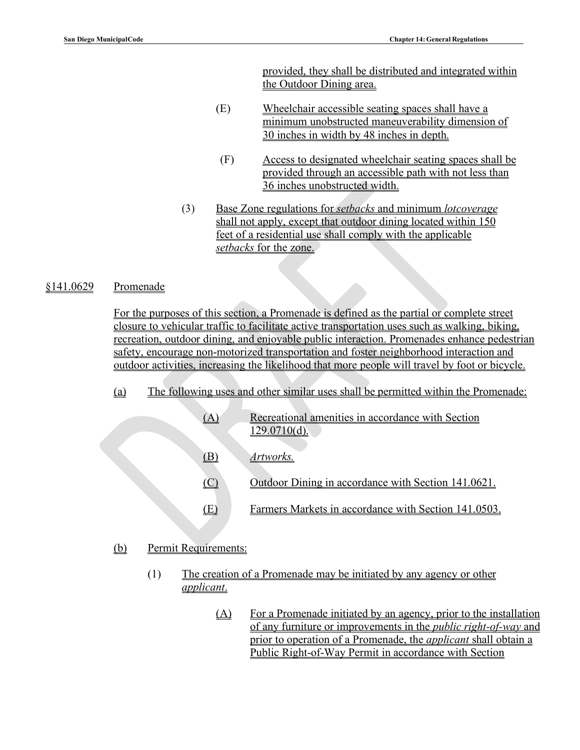provided, they shall be distributed and integrated within the Outdoor Dining area.

- (E) Wheelchair accessible seating spaces shall have a minimum unobstructed maneuverability dimension of 30 inches in width by 48 inches in depth.
- (F) Access to designated wheelchair seating spaces shall be provided through an accessible path with not less than 36 inches unobstructed width.
- (3) Base Zone regulations for *setbacks* and minimum *lotcoverage* shall not apply, except that outdoor dining located within 150 feet of a residential use shall comply with the applicable *setbacks* for the zone.

### §141.0629 Promenade

For the purposes of this section, a Promenade is defined as the partial or complete street closure to vehicular traffic to facilitate active transportation uses such as walking, biking, recreation, outdoor dining, and enjoyable public interaction. Promenades enhance pedestrian safety, encourage non-motorized transportation and foster neighborhood interaction and outdoor activities, increasing the likelihood that more people will travel by foot or bicycle.

- (a) The following uses and other similar uses shall be permitted within the Promenade:
	- (A) Recreational amenities in accordance with Section 129.0710(d). (B) *Artworks.* (C) Outdoor Dining in accordance with Section 141.0621. (E) Farmers Markets in accordance with Section 141.0503.

### (b) Permit Requirements:

- (1) The creation of a Promenade may be initiated by any agency or other *applicant*.
	- (A) For a Promenade initiated by an agency, prior to the installation of any furniture or improvements in the *public right-of-way* and prior to operation of a Promenade, the *applicant* shall obtain a Public Right-of-Way Permit in accordance with Section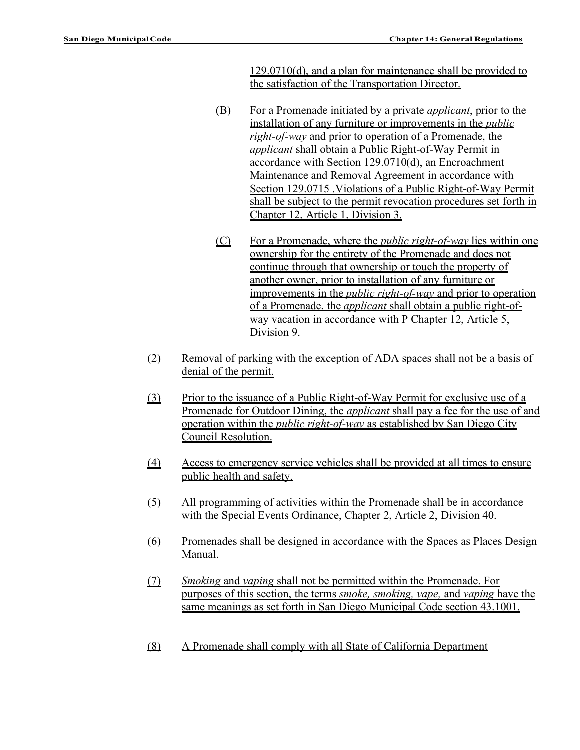129.0710(d), and a plan for maintenance shall be provided to the satisfaction of the Transportation Director.

- (B) For a Promenade initiated by a private *applicant*, prior to the installation of any furniture or improvements in the *public right-of-way* and prior to operation of a Promenade, the *applicant* shall obtain a Public Right-of-Way Permit in accordance with Section 129.0710(d), an Encroachment Maintenance and Removal Agreement in accordance with Section 129.0715 .Violations of a Public Right-of-Way Permit shall be subject to the permit revocation procedures set forth in Chapter 12, Article 1, Division 3.
- (C) For a Promenade, where the *public right-of-way* lies within one ownership for the entirety of the Promenade and does not continue through that ownership or touch the property of another owner, prior to installation of any furniture or improvements in the *public right-of-way* and prior to operation of a Promenade, the *applicant* shall obtain a public right-ofway vacation in accordance with P Chapter 12, Article 5, Division 9.
- (2) Removal of parking with the exception of ADA spaces shall not be a basis of denial of the permit.
- (3) Prior to the issuance of a Public Right-of-Way Permit for exclusive use of a Promenade for Outdoor Dining, the *applicant* shall pay a fee for the use of and operation within the *public right-of-way* as established by San Diego City Council Resolution.
- (4) Access to emergency service vehicles shall be provided at all times to ensure public health and safety.
- (5) All programming of activities within the Promenade shall be in accordance with the Special Events Ordinance, Chapter 2, Article 2, Division 40.
- (6) Promenades shall be designed in accordance with the Spaces as Places Design Manual.
- (7) *Smoking* and *vaping* shall not be permitted within the Promenade. For purposes of this section, the terms *smoke, smoking, vape,* and *vaping* have the same meanings as set forth in San Diego Municipal Code section 43.1001.
- (8) A Promenade shall comply with all State of California Department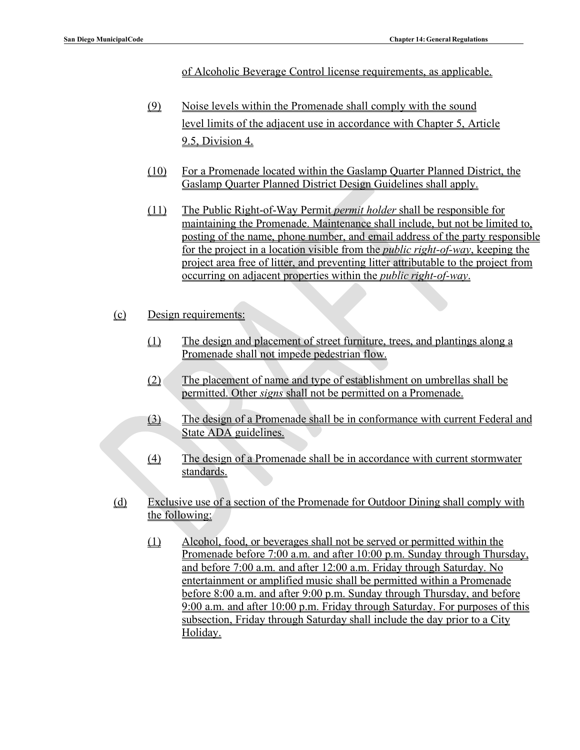of Alcoholic Beverage Control license requirements, as applicable.

- (9) Noise levels within the Promenade shall comply with the sound level limits of the adjacent use in accordance with Chapter 5, Article 9.5, Division 4.
- (10) For a Promenade located within the Gaslamp Quarter Planned District, the Gaslamp Quarter Planned District Design Guidelines shall apply.
- (11) The Public Right-of-Way Permit *permit holder* shall be responsible for maintaining the Promenade. Maintenance shall include, but not be limited to, posting of the name, phone number, and email address of the party responsible for the project in a location visible from the *public right-of-way*, keeping the project area free of litter, and preventing litter attributable to the project from occurring on adjacent properties within the *public right-of-way*.
- (c) Design requirements:
	- (1) The design and placement of street furniture, trees, and plantings along a Promenade shall not impede pedestrian flow.
	- (2) The placement of name and type of establishment on umbrellas shall be permitted. Other *signs* shall not be permitted on a Promenade.
	- (3) The design of a Promenade shall be in conformance with current Federal and State ADA guidelines.
	- (4) The design of a Promenade shall be in accordance with current stormwater standards.
- (d) Exclusive use of a section of the Promenade for Outdoor Dining shall comply with the following:
	- (1) Alcohol, food, or beverages shall not be served or permitted within the Promenade before 7:00 a.m. and after 10:00 p.m. Sunday through Thursday, and before 7:00 a.m. and after 12:00 a.m. Friday through Saturday. No entertainment or amplified music shall be permitted within a Promenade before 8:00 a.m. and after 9:00 p.m. Sunday through Thursday, and before 9:00 a.m. and after 10:00 p.m. Friday through Saturday. For purposes of this subsection, Friday through Saturday shall include the day prior to a City Holiday.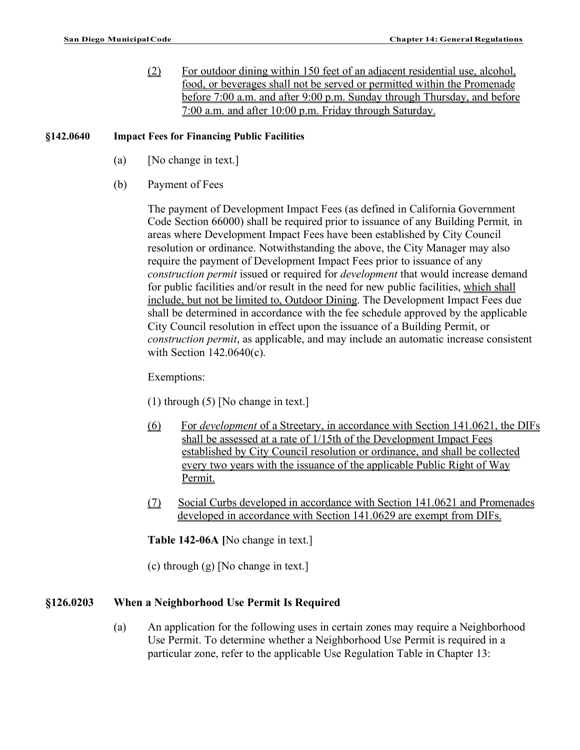(2) For outdoor dining within 150 feet of an adjacent residential use, alcohol, food, or beverages shall not be served or permitted within the Promenade before 7:00 a.m. and after 9:00 p.m. Sunday through Thursday, and before 7:00 a.m. and after 10:00 p.m. Friday through Saturday.

### **§142.0640 Impact Fees for Financing Public Facilities**

- (a) [No change in text.]
- (b) Payment of Fees

The payment of Development Impact Fees (as defined in California Government Code Section 66000) shall be required prior to issuance of any Building Permit*,* in areas where Development Impact Fees have been established by City Council resolution or ordinance. Notwithstanding the above, the City Manager may also require the payment of Development Impact Fees prior to issuance of any *construction permit* issued or required for *development* that would increase demand for public facilities and/or result in the need for new public facilities, which shall include, but not be limited to, Outdoor Dining. The Development Impact Fees due shall be determined in accordance with the fee schedule approved by the applicable City Council resolution in effect upon the issuance of a Building Permit, or *construction permit*, as applicable, and may include an automatic increase consistent with Section 142.0640(c).

### Exemptions:

- (1) through (5) [No change in text.]
- (6) For *development* of a Streetary, in accordance with Section 141.0621, the DIFs shall be assessed at a rate of 1/15th of the Development Impact Fees established by City Council resolution or ordinance, and shall be collected every two years with the issuance of the applicable Public Right of Way Permit.
- (7) Social Curbs developed in accordance with Section 141.0621 and Promenades developed in accordance with Section 141.0629 are exempt from DIFs.

**Table 142-06A [**No change in text.]

(c) through (g) [No change in text.]

# **§126.0203 When a Neighborhood Use Permit Is Required**

(a) An application for the following uses in certain zones may require a Neighborhood Use Permit. To determine whether a Neighborhood Use Permit is required in a particular zone, refer to the applicable Use Regulation Table in Chapter 13: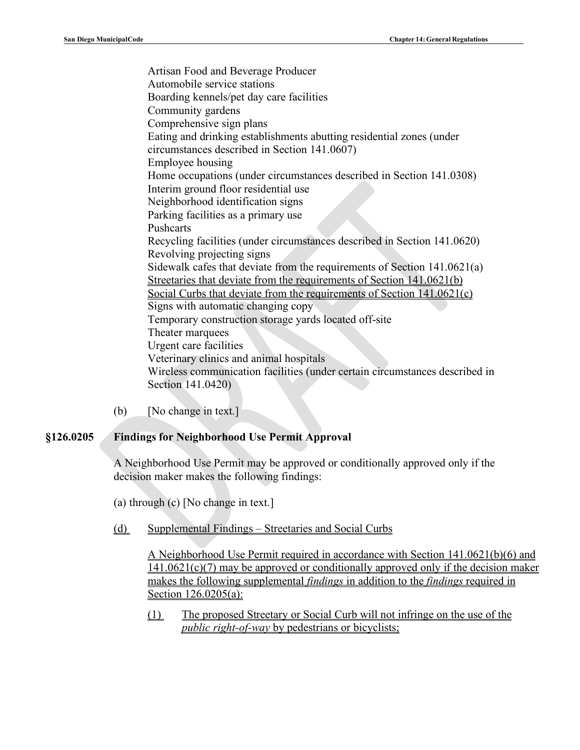Artisan Food and Beverage Producer Automobile service stations Boarding kennels/pet day care facilities Community gardens Comprehensive sign plans Eating and drinking establishments abutting residential zones (under circumstances described in Section 141.0607) Employee housing Home occupations (under circumstances described in Section 141.0308) Interim ground floor residential use Neighborhood identification signs Parking facilities as a primary use Pushcarts Recycling facilities (under circumstances described in Section 141.0620) Revolving projecting signs Sidewalk cafes that deviate from the requirements of Section 141.0621(a) Streetaries that deviate from the requirements of Section 141.0621(b) Social Curbs that deviate from the requirements of Section 141.0621(c) Signs with automatic changing copy Temporary construction storage yards located off-site Theater marquees Urgent care facilities Veterinary clinics and animal hospitals Wireless communication facilities (under certain circumstances described in Section 141.0420)

(b) [No change in text.]

### **§126.0205 Findings for Neighborhood Use Permit Approval**

A Neighborhood Use Permit may be approved or conditionally approved only if the decision maker makes the following findings:

(a) through (c) [No change in text.]

(d) Supplemental Findings – Streetaries and Social Curbs

A Neighborhood Use Permit required in accordance with Section 141.0621(b)(6) and 141.0621(c)(7) may be approved or conditionally approved only if the decision maker makes the following supplemental *findings* in addition to the *findings* required in Section 126.0205(a):

(1) The proposed Streetary or Social Curb will not infringe on the use of the *public right-of-way* by pedestrians or bicyclists;